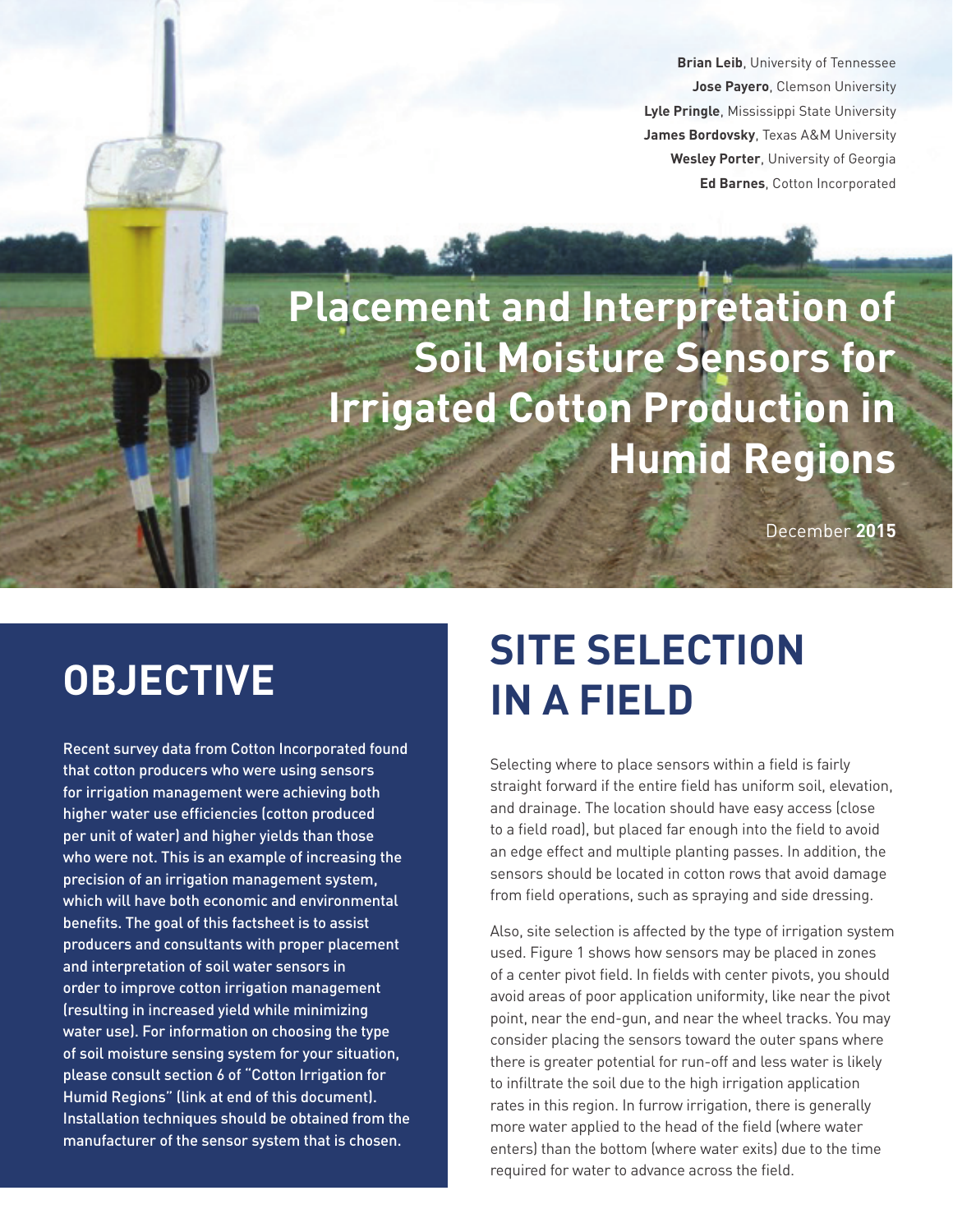**Brian Leib**, University of Tennessee **Jose Payero**, Clemson University **Lyle Pringle**, Mississippi State University **James Bordovsky**, Texas A&M University **Wesley Porter**, University of Georgia **Ed Barnes**, Cotton Incorporated

**Placement and Interpretation of Soil Moisture Sensors for Irrigated Cotton Production in Humid Regions**

December **2015**

## **OBJECTIVE**

Recent survey data from Cotton Incorporated found that cotton producers who were using sensors for irrigation management were achieving both higher water use efficiencies (cotton produced per unit of water) and higher yields than those who were not. This is an example of increasing the precision of an irrigation management system, which will have both economic and environmental benefits. The goal of this factsheet is to assist producers and consultants with proper placement and interpretation of soil water sensors in order to improve cotton irrigation management (resulting in increased yield while minimizing water use). For information on choosing the type of soil moisture sensing system for your situation, please consult section 6 of "Cotton Irrigation for Humid Regions" (link at end of this document). Installation techniques should be obtained from the manufacturer of the sensor system that is chosen.

## **SITE SELECTION IN A FIELD**

Selecting where to place sensors within a field is fairly straight forward if the entire field has uniform soil, elevation, and drainage. The location should have easy access (close to a field road), but placed far enough into the field to avoid an edge effect and multiple planting passes. In addition, the sensors should be located in cotton rows that avoid damage from field operations, such as spraying and side dressing.

Also, site selection is affected by the type of irrigation system used. Figure 1 shows how sensors may be placed in zones of a center pivot field. In fields with center pivots, you should avoid areas of poor application uniformity, like near the pivot point, near the end-gun, and near the wheel tracks. You may consider placing the sensors toward the outer spans where there is greater potential for run-off and less water is likely to infiltrate the soil due to the high irrigation application rates in this region. In furrow irrigation, there is generally more water applied to the head of the field (where water enters) than the bottom (where water exits) due to the time required for water to advance across the field.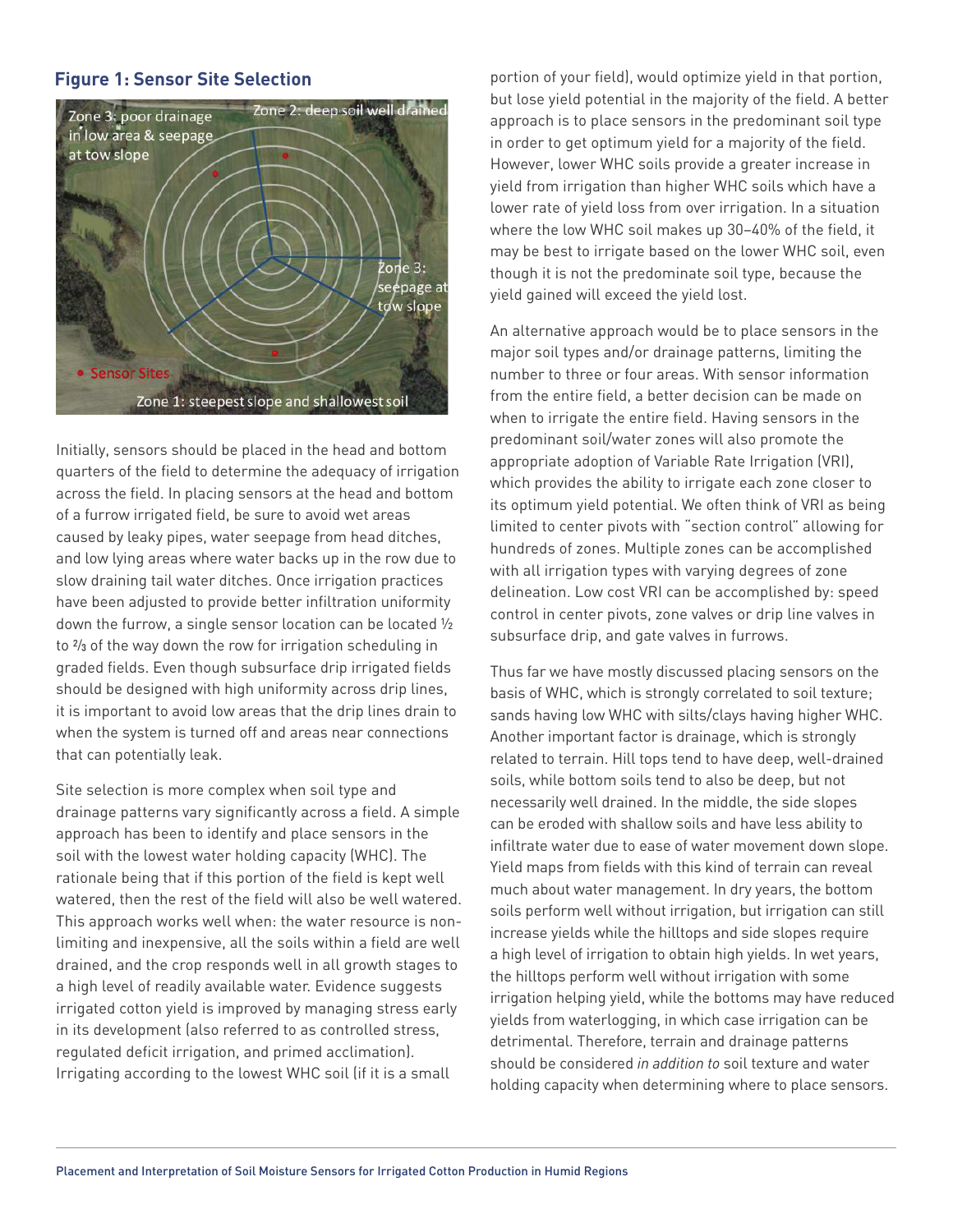### **Figure 1: Sensor Site Selection**



Initially, sensors should be placed in the head and bottom quarters of the field to determine the adequacy of irrigation across the field. In placing sensors at the head and bottom of a furrow irrigated field, be sure to avoid wet areas caused by leaky pipes, water seepage from head ditches, and low lying areas where water backs up in the row due to slow draining tail water ditches. Once irrigation practices have been adjusted to provide better infiltration uniformity down the furrow, a single sensor location can be located ½ to 2/3 of the way down the row for irrigation scheduling in graded fields. Even though subsurface drip irrigated fields should be designed with high uniformity across drip lines, it is important to avoid low areas that the drip lines drain to when the system is turned off and areas near connections that can potentially leak.

Site selection is more complex when soil type and drainage patterns vary significantly across a field. A simple approach has been to identify and place sensors in the soil with the lowest water holding capacity (WHC). The rationale being that if this portion of the field is kept well watered, then the rest of the field will also be well watered. This approach works well when: the water resource is nonlimiting and inexpensive, all the soils within a field are well drained, and the crop responds well in all growth stages to a high level of readily available water. Evidence suggests irrigated cotton yield is improved by managing stress early in its development (also referred to as controlled stress, regulated deficit irrigation, and primed acclimation). Irrigating according to the lowest WHC soil (if it is a small

portion of your field), would optimize yield in that portion, but lose yield potential in the majority of the field. A better approach is to place sensors in the predominant soil type in order to get optimum yield for a majority of the field. However, lower WHC soils provide a greater increase in yield from irrigation than higher WHC soils which have a lower rate of yield loss from over irrigation. In a situation where the low WHC soil makes up 30–40% of the field, it may be best to irrigate based on the lower WHC soil, even though it is not the predominate soil type, because the yield gained will exceed the yield lost.

An alternative approach would be to place sensors in the major soil types and/or drainage patterns, limiting the number to three or four areas. With sensor information from the entire field, a better decision can be made on when to irrigate the entire field. Having sensors in the predominant soil/water zones will also promote the appropriate adoption of Variable Rate Irrigation (VRI), which provides the ability to irrigate each zone closer to its optimum yield potential. We often think of VRI as being limited to center pivots with "section control" allowing for hundreds of zones. Multiple zones can be accomplished with all irrigation types with varying degrees of zone delineation. Low cost VRI can be accomplished by: speed control in center pivots, zone valves or drip line valves in subsurface drip, and gate valves in furrows.

Thus far we have mostly discussed placing sensors on the basis of WHC, which is strongly correlated to soil texture; sands having low WHC with silts/clays having higher WHC. Another important factor is drainage, which is strongly related to terrain. Hill tops tend to have deep, well-drained soils, while bottom soils tend to also be deep, but not necessarily well drained. In the middle, the side slopes can be eroded with shallow soils and have less ability to infiltrate water due to ease of water movement down slope. Yield maps from fields with this kind of terrain can reveal much about water management. In dry years, the bottom soils perform well without irrigation, but irrigation can still increase yields while the hilltops and side slopes require a high level of irrigation to obtain high yields. In wet years, the hilltops perform well without irrigation with some irrigation helping yield, while the bottoms may have reduced yields from waterlogging, in which case irrigation can be detrimental. Therefore, terrain and drainage patterns should be considered *in addition to* soil texture and water holding capacity when determining where to place sensors.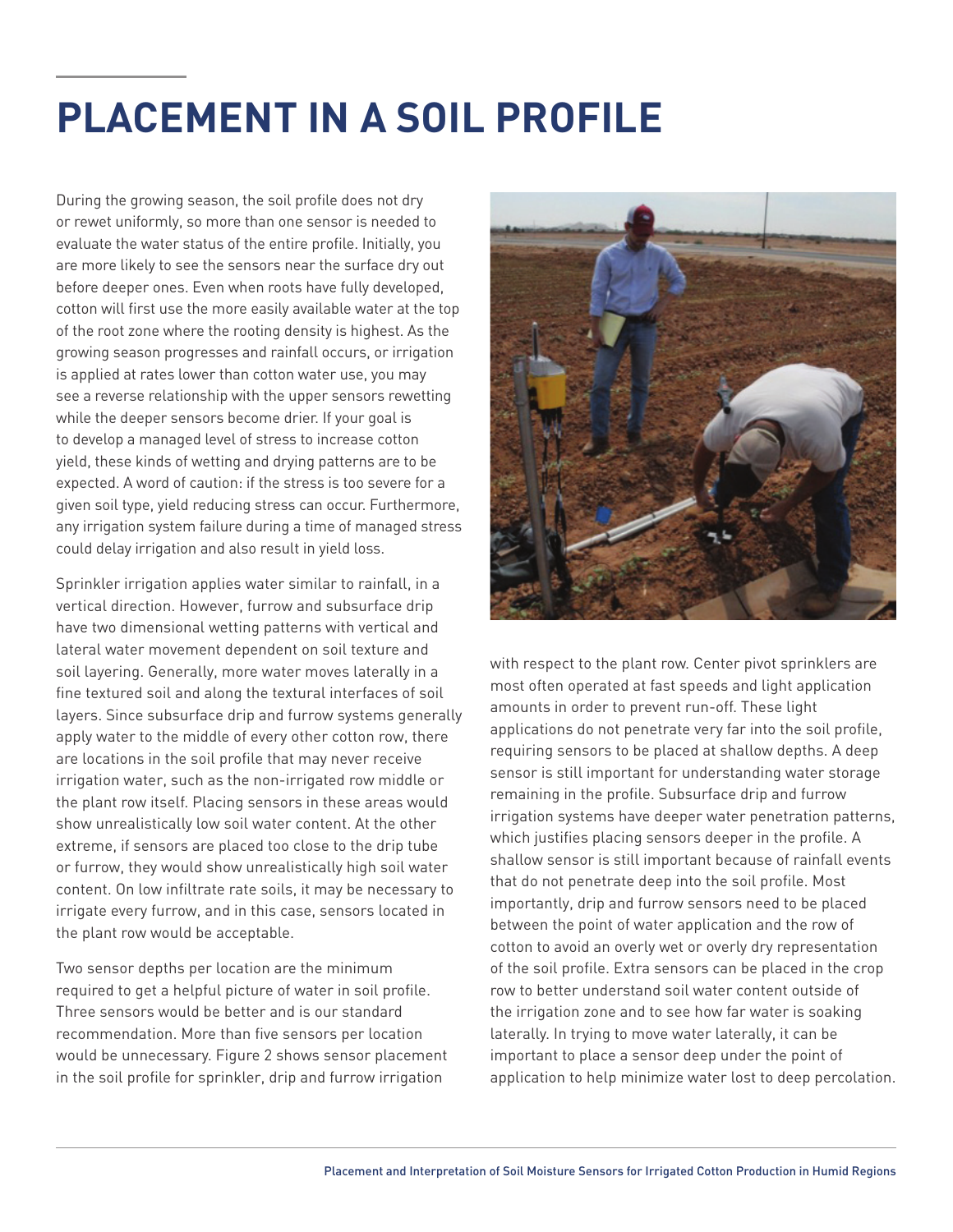## **PLACEMENT IN A SOIL PROFILE**

During the growing season, the soil profile does not dry or rewet uniformly, so more than one sensor is needed to evaluate the water status of the entire profile. Initially, you are more likely to see the sensors near the surface dry out before deeper ones. Even when roots have fully developed, cotton will first use the more easily available water at the top of the root zone where the rooting density is highest. As the growing season progresses and rainfall occurs, or irrigation is applied at rates lower than cotton water use, you may see a reverse relationship with the upper sensors rewetting while the deeper sensors become drier. If your goal is to develop a managed level of stress to increase cotton yield, these kinds of wetting and drying patterns are to be expected. A word of caution: if the stress is too severe for a given soil type, yield reducing stress can occur. Furthermore, any irrigation system failure during a time of managed stress could delay irrigation and also result in yield loss.

Sprinkler irrigation applies water similar to rainfall, in a vertical direction. However, furrow and subsurface drip have two dimensional wetting patterns with vertical and lateral water movement dependent on soil texture and soil layering. Generally, more water moves laterally in a fine textured soil and along the textural interfaces of soil layers. Since subsurface drip and furrow systems generally apply water to the middle of every other cotton row, there are locations in the soil profile that may never receive irrigation water, such as the non-irrigated row middle or the plant row itself. Placing sensors in these areas would show unrealistically low soil water content. At the other extreme, if sensors are placed too close to the drip tube or furrow, they would show unrealistically high soil water content. On low infiltrate rate soils, it may be necessary to irrigate every furrow, and in this case, sensors located in the plant row would be acceptable.

Two sensor depths per location are the minimum required to get a helpful picture of water in soil profile. Three sensors would be better and is our standard recommendation. More than five sensors per location would be unnecessary. Figure 2 shows sensor placement in the soil profile for sprinkler, drip and furrow irrigation



with respect to the plant row. Center pivot sprinklers are most often operated at fast speeds and light application amounts in order to prevent run-off. These light applications do not penetrate very far into the soil profile, requiring sensors to be placed at shallow depths. A deep sensor is still important for understanding water storage remaining in the profile. Subsurface drip and furrow irrigation systems have deeper water penetration patterns, which justifies placing sensors deeper in the profile. A shallow sensor is still important because of rainfall events that do not penetrate deep into the soil profile. Most importantly, drip and furrow sensors need to be placed between the point of water application and the row of cotton to avoid an overly wet or overly dry representation of the soil profile. Extra sensors can be placed in the crop row to better understand soil water content outside of the irrigation zone and to see how far water is soaking laterally. In trying to move water laterally, it can be important to place a sensor deep under the point of application to help minimize water lost to deep percolation.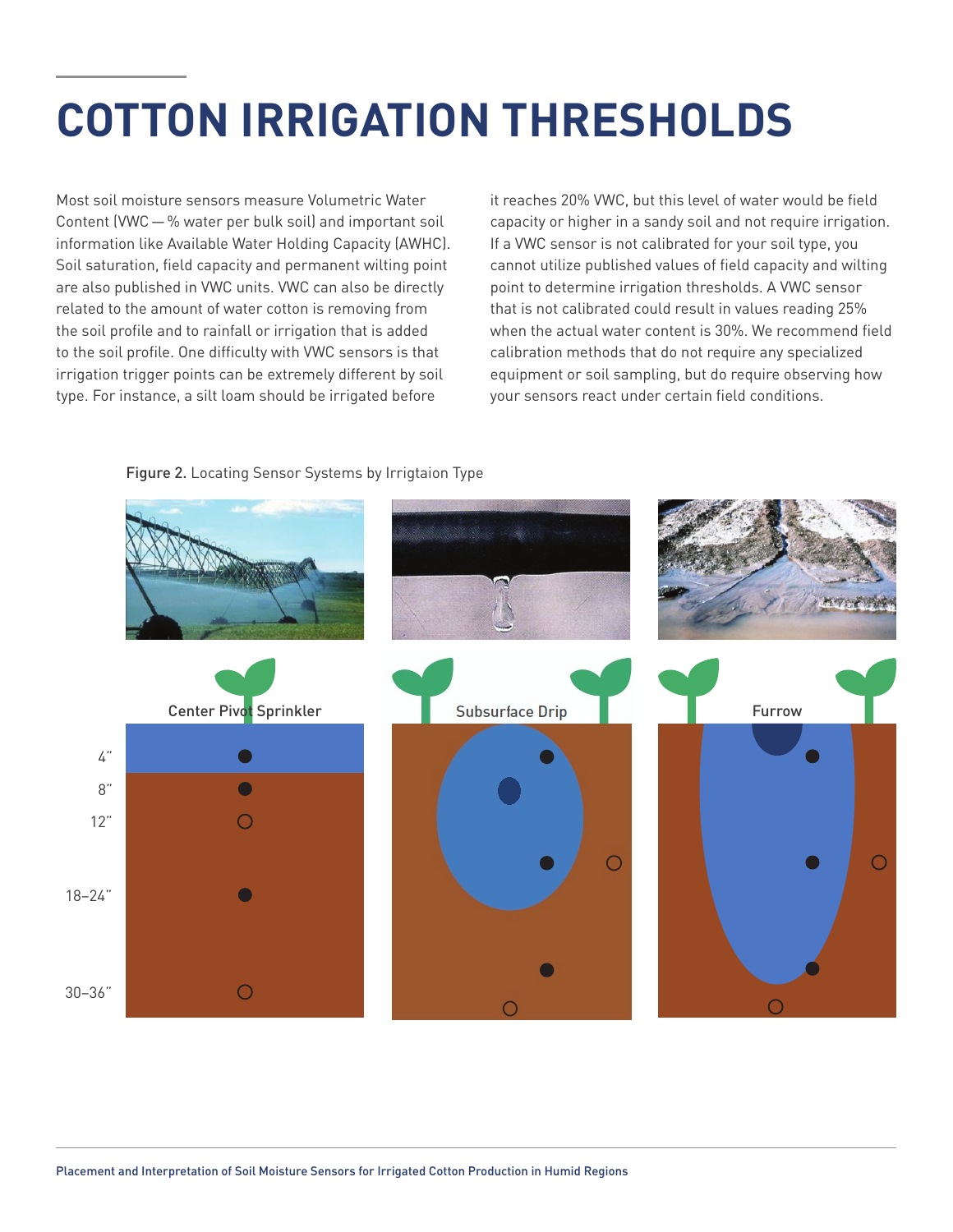# **COTTON IRRIGATION THRESHOLDS**

Most soil moisture sensors measure Volumetric Water Content (VWC—% water per bulk soil) and important soil information like Available Water Holding Capacity (AWHC). Soil saturation, field capacity and permanent wilting point are also published in VWC units. VWC can also be directly related to the amount of water cotton is removing from the soil profile and to rainfall or irrigation that is added to the soil profile. One difficulty with VWC sensors is that irrigation trigger points can be extremely different by soil type. For instance, a silt loam should be irrigated before

it reaches 20% VWC, but this level of water would be field capacity or higher in a sandy soil and not require irrigation. If a VWC sensor is not calibrated for your soil type, you cannot utilize published values of field capacity and wilting point to determine irrigation thresholds. A VWC sensor that is not calibrated could result in values reading 25% when the actual water content is 30%. We recommend field calibration methods that do not require any specialized equipment or soil sampling, but do require observing how your sensors react under certain field conditions.



#### Figure 2. Locating Sensor Systems by Irrigtaion Type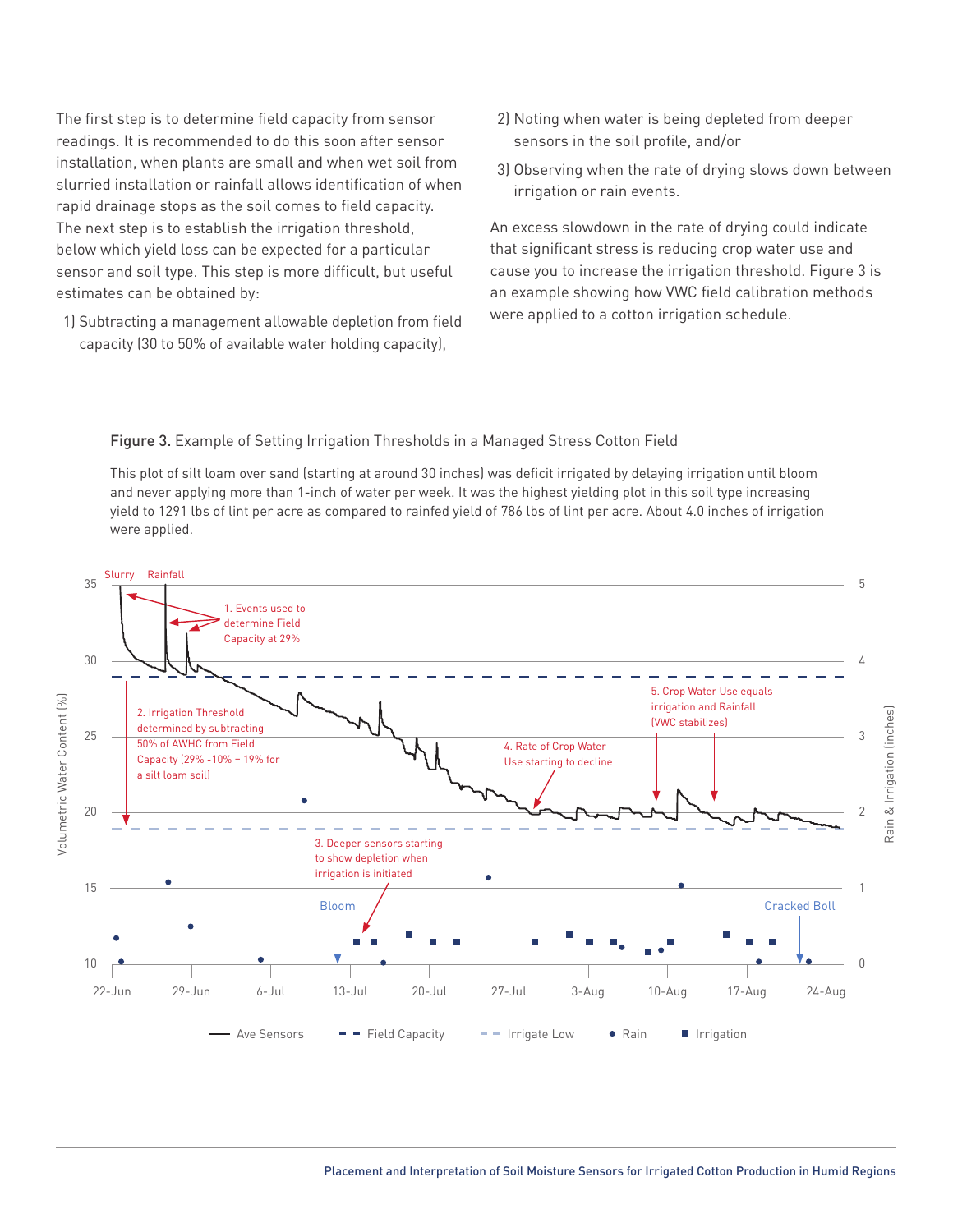The first step is to determine field capacity from sensor readings. It is recommended to do this soon after sensor installation, when plants are small and when wet soil from slurried installation or rainfall allows identification of when rapid drainage stops as the soil comes to field capacity. The next step is to establish the irrigation threshold, below which yield loss can be expected for a particular sensor and soil type. This step is more difficult, but useful estimates can be obtained by:

1) Subtracting a management allowable depletion from field capacity (30 to 50% of available water holding capacity),

- 2) Noting when water is being depleted from deeper sensors in the soil profile, and/or
- 3) Observing when the rate of drying slows down between irrigation or rain events.

An excess slowdown in the rate of drying could indicate that significant stress is reducing crop water use and cause you to increase the irrigation threshold. Figure 3 is an example showing how VWC field calibration methods were applied to a cotton irrigation schedule.

#### Figure 3. Example of Setting Irrigation Thresholds in a Managed Stress Cotton Field

This plot of silt loam over sand (starting at around 30 inches) was deficit irrigated by delaying irrigation until bloom and never applying more than 1-inch of water per week. It was the highest yielding plot in this soil type increasing yield to 1291 lbs of lint per acre as compared to rainfed yield of 786 lbs of lint per acre. About 4.0 inches of irrigation were applied.

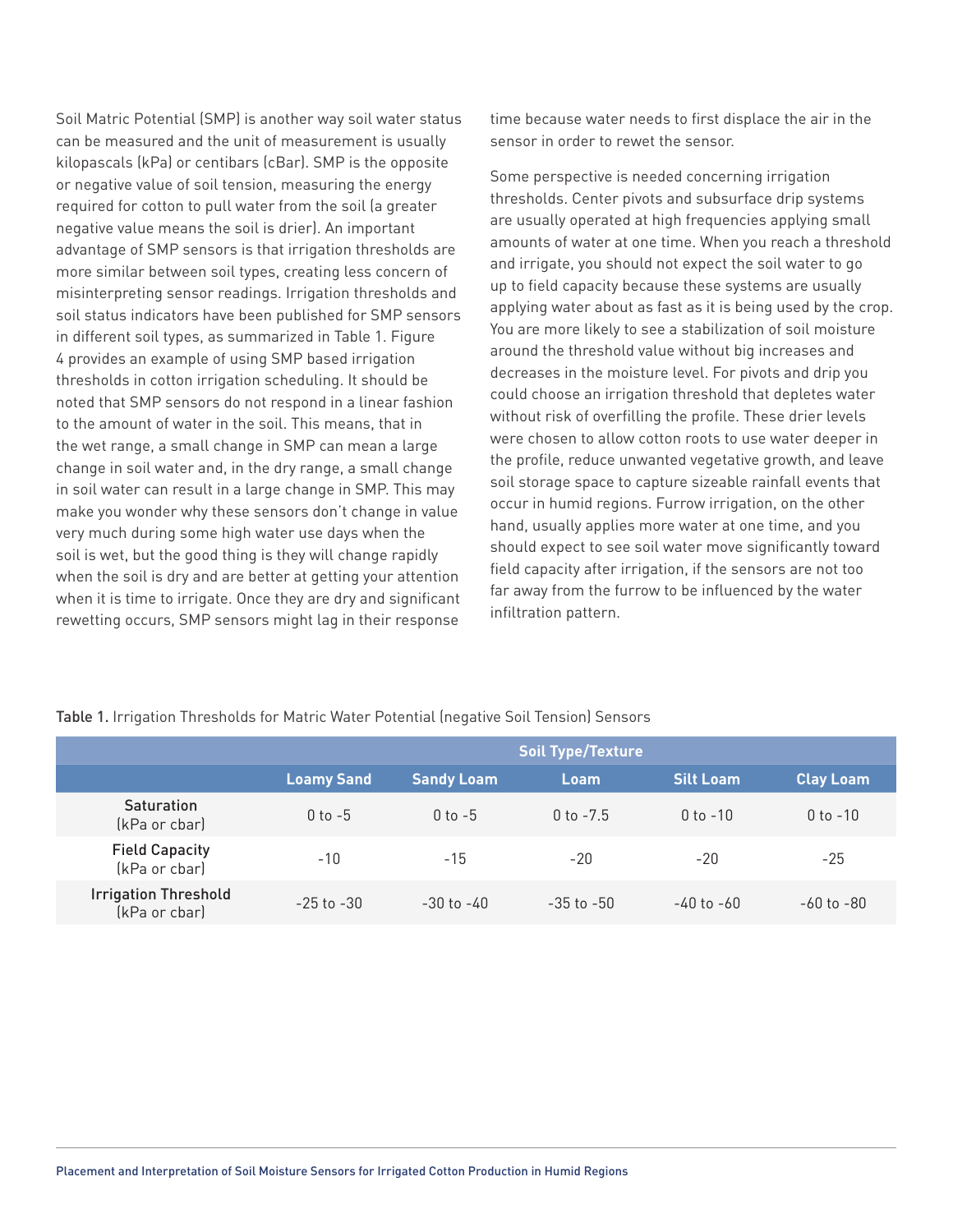Soil Matric Potential (SMP) is another way soil water status can be measured and the unit of measurement is usually kilopascals (kPa) or centibars (cBar). SMP is the opposite or negative value of soil tension, measuring the energy required for cotton to pull water from the soil (a greater negative value means the soil is drier). An important advantage of SMP sensors is that irrigation thresholds are more similar between soil types, creating less concern of misinterpreting sensor readings. Irrigation thresholds and soil status indicators have been published for SMP sensors in different soil types, as summarized in Table 1. Figure 4 provides an example of using SMP based irrigation thresholds in cotton irrigation scheduling. It should be noted that SMP sensors do not respond in a linear fashion to the amount of water in the soil. This means, that in the wet range, a small change in SMP can mean a large change in soil water and, in the dry range, a small change in soil water can result in a large change in SMP. This may make you wonder why these sensors don't change in value very much during some high water use days when the soil is wet, but the good thing is they will change rapidly when the soil is dry and are better at getting your attention when it is time to irrigate. Once they are dry and significant rewetting occurs, SMP sensors might lag in their response

time because water needs to first displace the air in the sensor in order to rewet the sensor.

Some perspective is needed concerning irrigation thresholds. Center pivots and subsurface drip systems are usually operated at high frequencies applying small amounts of water at one time. When you reach a threshold and irrigate, you should not expect the soil water to go up to field capacity because these systems are usually applying water about as fast as it is being used by the crop. You are more likely to see a stabilization of soil moisture around the threshold value without big increases and decreases in the moisture level. For pivots and drip you could choose an irrigation threshold that depletes water without risk of overfilling the profile. These drier levels were chosen to allow cotton roots to use water deeper in the profile, reduce unwanted vegetative growth, and leave soil storage space to capture sizeable rainfall events that occur in humid regions. Furrow irrigation, on the other hand, usually applies more water at one time, and you should expect to see soil water move significantly toward field capacity after irrigation, if the sensors are not too far away from the furrow to be influenced by the water infiltration pattern.

|                                              | Soil Type/Texture |                   |                |                  |                  |
|----------------------------------------------|-------------------|-------------------|----------------|------------------|------------------|
|                                              | <b>Loamy Sand</b> | <b>Sandy Loam</b> | Loam           | <b>Silt Loam</b> | <b>Clay Loam</b> |
| <b>Saturation</b><br>(kPa or cbar)           | $0$ to $-5$       | $0$ to $-5$       | 0 to $-7.5$    | $0$ to $-10$     | $0$ to $-10$     |
| <b>Field Capacity</b><br>(kPa or cbar)       | $-10$             | $-15$             | -20            | $-20$            | -25              |
| <b>Irrigation Threshold</b><br>(kPa or cbar) | $-25$ to $-30$    | $-30$ to $-40$    | $-35$ to $-50$ | $-40$ to $-60$   | $-60$ to $-80$   |

Table 1. Irrigation Thresholds for Matric Water Potential (negative Soil Tension) Sensors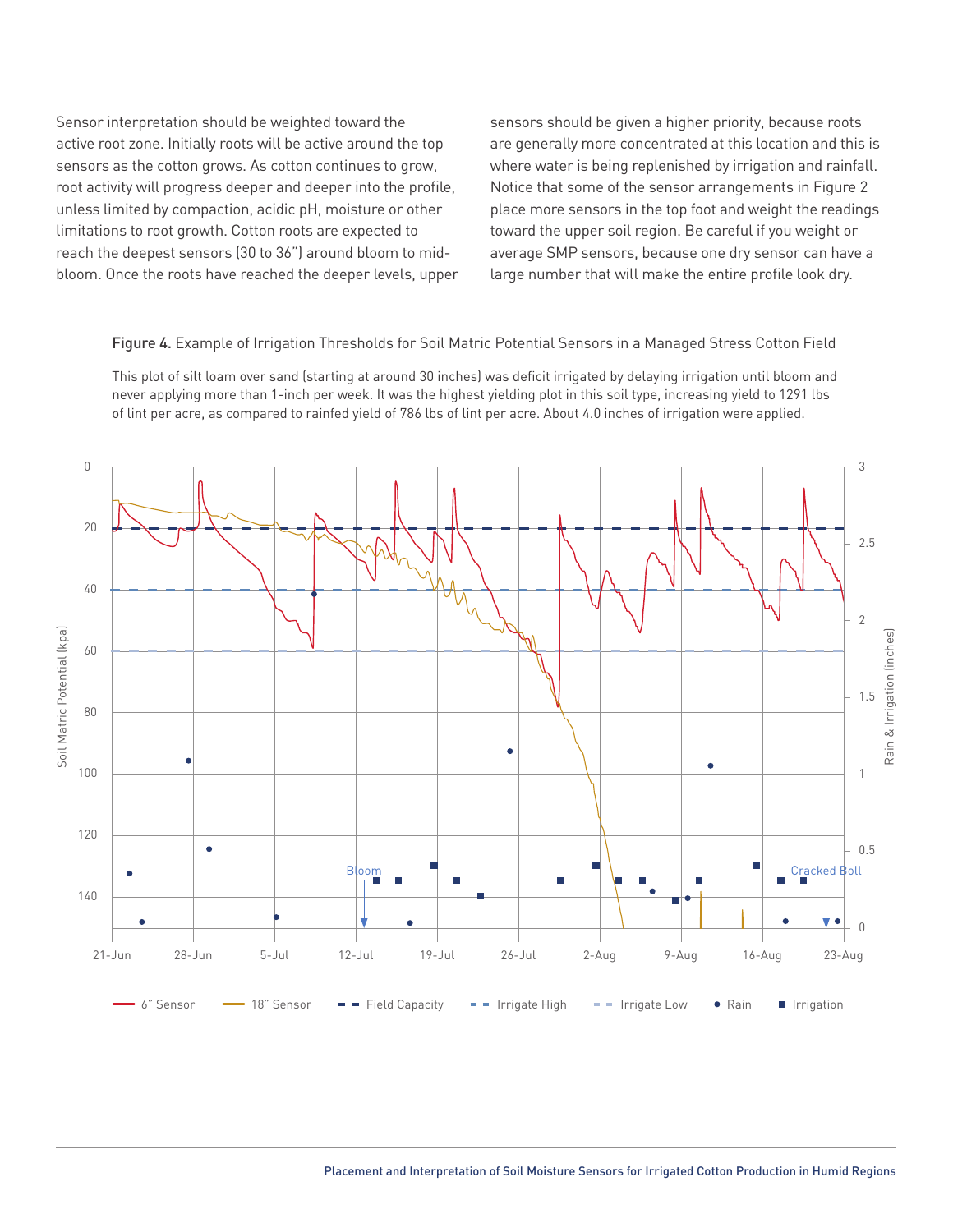Sensor interpretation should be weighted toward the active root zone. Initially roots will be active around the top sensors as the cotton grows. As cotton continues to grow, root activity will progress deeper and deeper into the profile, unless limited by compaction, acidic pH, moisture or other limitations to root growth. Cotton roots are expected to reach the deepest sensors (30 to 36") around bloom to midbloom. Once the roots have reached the deeper levels, upper sensors should be given a higher priority, because roots are generally more concentrated at this location and this is where water is being replenished by irrigation and rainfall. Notice that some of the sensor arrangements in Figure 2 place more sensors in the top foot and weight the readings toward the upper soil region. Be careful if you weight or average SMP sensors, because one dry sensor can have a large number that will make the entire profile look dry.

#### Figure 4. Example of Irrigation Thresholds for Soil Matric Potential Sensors in a Managed Stress Cotton Field

This plot of silt loam over sand (starting at around 30 inches) was deficit irrigated by delaying irrigation until bloom and never applying more than 1-inch per week. It was the highest yielding plot in this soil type, increasing yield to 1291 lbs of lint per acre, as compared to rainfed yield of 786 lbs of lint per acre. About 4.0 inches of irrigation were applied.